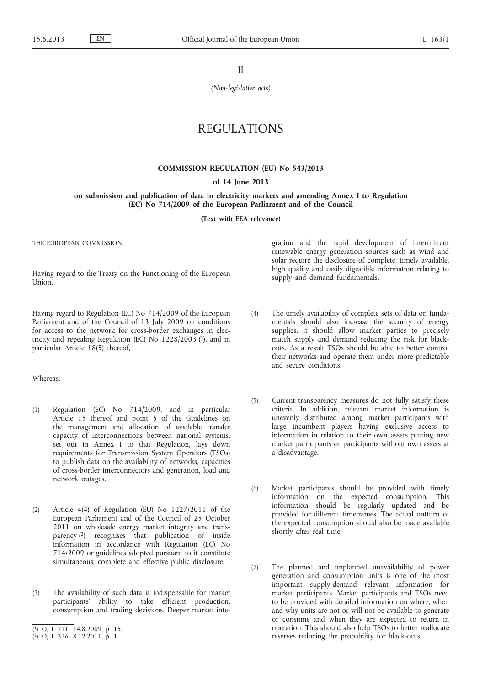II

*(Non-legislative acts)*

# REGULATIONS

# **COMMISSION REGULATION (EU) No 543/2013**

### **of 14 June 2013**

# **on submission and publication of data in electricity markets and amending Annex I to Regulation (EC) No 714/2009 of the European Parliament and of the Council**

**(Text with EEA relevance)**

THE EUROPEAN COMMISSION,

Having regard to the Treaty on the Functioning of the European Union,

Having regard to Regulation (EC) No 714/2009 of the European Parliament and of the Council of 13 July 2009 on conditions for access to the network for cross-border exchanges in electricity and repealing Regulation (EC) No  $1228/2003$  (1), and in particular Article 18(5) thereof,

#### Whereas:

- (1) Regulation (EC) No 714/2009, and in particular Article 15 thereof and point 5 of the Guidelines on the management and allocation of available transfer capacity of interconnections between national systems, set out in Annex I to that Regulation, lays down requirements for Transmission System Operators (TSOs) to publish data on the availability of networks, capacities of cross-border interconnectors and generation, load and network outages.
- (2) Article 4(4) of Regulation (EU) No 1227/2011 of the European Parliament and of the Council of 25 October 2011 on wholesale energy market integrity and transparency (2) recognises that publication of inside information in accordance with Regulation (EC) No 714/2009 or guidelines adopted pursuant to it constitute simultaneous, complete and effective public disclosure.
- (3) The availability of such data is indispensable for market participants' ability to take efficient production, consumption and trading decisions. Deeper market inte-

gration and the rapid development of intermittent renewable energy generation sources such as wind and solar require the disclosure of complete, timely available, high quality and easily digestible information relating to supply and demand fundamentals.

- (4) The timely availability of complete sets of data on fundamentals should also increase the security of energy supplies. It should allow market parties to precisely match supply and demand reducing the risk for blackouts. As a result TSOs should be able to better control their networks and operate them under more predictable and secure conditions.
- (5) Current transparency measures do not fully satisfy these criteria. In addition, relevant market information is unevenly distributed among market participants with large incumbent players having exclusive access to information in relation to their own assets putting new market participants or participants without own assets at a disadvantage.
- (6) Market participants should be provided with timely information on the expected consumption. This information should be regularly updated and be provided for different timeframes. The actual outturn of the expected consumption should also be made available shortly after real time.
- (7) The planned and unplanned unavailability of power generation and consumption units is one of the most important supply-demand relevant information for market participants. Market participants and TSOs need to be provided with detailed information on where, when and why units are not or will not be available to generate or consume and when they are expected to return in operation. This should also help TSOs to better reallocate reserves reducing the probability for black-outs.

<sup>(</sup> 1) OJ L 211, 14.8.2009, p. 15.

<sup>(</sup> 2) OJ L 326, 8.12.2011, p. 1.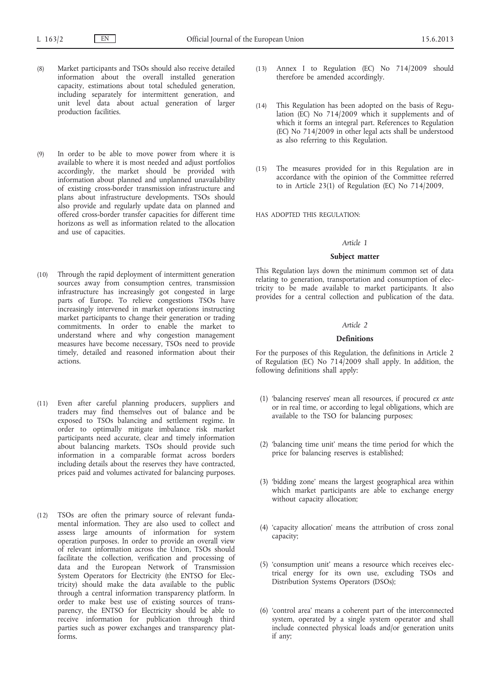- (8) Market participants and TSOs should also receive detailed information about the overall installed generation capacity, estimations about total scheduled generation, including separately for intermittent generation, and unit level data about actual generation of larger production facilities.
- (9) In order to be able to move power from where it is available to where it is most needed and adjust portfolios accordingly, the market should be provided with information about planned and unplanned unavailability of existing cross-border transmission infrastructure and plans about infrastructure developments. TSOs should also provide and regularly update data on planned and offered cross-border transfer capacities for different time horizons as well as information related to the allocation and use of capacities.
- (10) Through the rapid deployment of intermittent generation sources away from consumption centres, transmission infrastructure has increasingly got congested in large parts of Europe. To relieve congestions TSOs have increasingly intervened in market operations instructing market participants to change their generation or trading commitments. In order to enable the market to understand where and why congestion management measures have become necessary, TSOs need to provide timely, detailed and reasoned information about their actions.
- (11) Even after careful planning producers, suppliers and traders may find themselves out of balance and be exposed to TSOs balancing and settlement regime. In order to optimally mitigate imbalance risk market participants need accurate, clear and timely information about balancing markets. TSOs should provide such information in a comparable format across borders including details about the reserves they have contracted, prices paid and volumes activated for balancing purposes.
- (12) TSOs are often the primary source of relevant fundamental information. They are also used to collect and assess large amounts of information for system operation purposes. In order to provide an overall view of relevant information across the Union, TSOs should facilitate the collection, verification and processing of data and the European Network of Transmission System Operators for Electricity (the ENTSO for Electricity) should make the data available to the public through a central information transparency platform. In order to make best use of existing sources of transparency, the ENTSO for Electricity should be able to receive information for publication through third parties such as power exchanges and transparency platforms.
- (13) Annex I to Regulation (EC) No 714/2009 should therefore be amended accordingly.
- (14) This Regulation has been adopted on the basis of Regulation (EC) No 714/2009 which it supplements and of which it forms an integral part. References to Regulation (EC) No 714/2009 in other legal acts shall be understood as also referring to this Regulation.
- (15) The measures provided for in this Regulation are in accordance with the opinion of the Committee referred to in Article 23(1) of Regulation (EC) No 714/2009,

HAS ADOPTED THIS REGULATION:

#### *Article 1*

### **Subject matter**

This Regulation lays down the minimum common set of data relating to generation, transportation and consumption of electricity to be made available to market participants. It also provides for a central collection and publication of the data.

#### *Article 2*

# **Definitions**

For the purposes of this Regulation, the definitions in Article 2 of Regulation (EC) No 714/2009 shall apply. In addition, the following definitions shall apply:

- (1) 'balancing reserves' mean all resources, if procured *ex ante* or in real time, or according to legal obligations, which are available to the TSO for balancing purposes;
- (2) 'balancing time unit' means the time period for which the price for balancing reserves is established;
- (3) 'bidding zone' means the largest geographical area within which market participants are able to exchange energy without capacity allocation;
- (4) 'capacity allocation' means the attribution of cross zonal capacity;
- (5) 'consumption unit' means a resource which receives electrical energy for its own use, excluding TSOs and Distribution Systems Operators (DSOs);
- (6) 'control area' means a coherent part of the interconnected system, operated by a single system operator and shall include connected physical loads and/or generation units if any;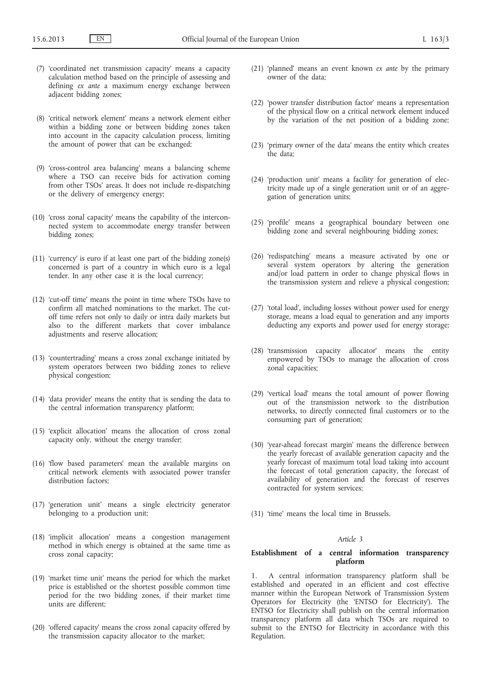- (7) 'coordinated net transmission capacity' means a capacity calculation method based on the principle of assessing and defining *ex ante* a maximum energy exchange between adjacent bidding zones;
- (8) 'critical network element' means a network element either within a bidding zone or between bidding zones taken into account in the capacity calculation process, limiting the amount of power that can be exchanged;
- (9) 'cross-control area balancing' means a balancing scheme where a TSO can receive bids for activation coming from other TSOs' areas. It does not include re-dispatching or the delivery of emergency energy;
- (10) 'cross zonal capacity' means the capability of the interconnected system to accommodate energy transfer between bidding zones;
- (11) 'currency' is euro if at least one part of the bidding zone(s) concerned is part of a country in which euro is a legal tender. In any other case it is the local currency;
- (12) 'cut-off time' means the point in time where TSOs have to confirm all matched nominations to the market. The cutoff time refers not only to daily or intra daily markets but also to the different markets that cover imbalance adjustments and reserve allocation;
- (13) 'countertrading' means a cross zonal exchange initiated by system operators between two bidding zones to relieve physical congestion;
- (14) 'data provider' means the entity that is sending the data to the central information transparency platform;
- (15) 'explicit allocation' means the allocation of cross zonal capacity only, without the energy transfer;
- (16) 'flow based parameters' mean the available margins on critical network elements with associated power transfer distribution factors;
- (17) 'generation unit' means a single electricity generator belonging to a production unit;
- (18) 'implicit allocation' means a congestion management method in which energy is obtained at the same time as cross zonal capacity;
- (19) 'market time unit' means the period for which the market price is established or the shortest possible common time period for the two bidding zones, if their market time units are different;
- (20) 'offered capacity' means the cross zonal capacity offered by the transmission capacity allocator to the market;
- (21) 'planned' means an event known *ex ante* by the primary owner of the data;
- (22) 'power transfer distribution factor' means a representation of the physical flow on a critical network element induced by the variation of the net position of a bidding zone;
- (23) 'primary owner of the data' means the entity which creates the data;
- (24) 'production unit' means a facility for generation of electricity made up of a single generation unit or of an aggregation of generation units;
- (25) 'profile' means a geographical boundary between one bidding zone and several neighbouring bidding zones;
- (26) 'redispatching' means a measure activated by one or several system operators by altering the generation and/or load pattern in order to change physical flows in the transmission system and relieve a physical congestion;
- (27) 'total load', including losses without power used for energy storage, means a load equal to generation and any imports deducting any exports and power used for energy storage;
- (28) 'transmission capacity allocator' means the entity empowered by TSOs to manage the allocation of cross zonal capacities;
- (29) 'vertical load' means the total amount of power flowing out of the transmission network to the distribution networks, to directly connected final customers or to the consuming part of generation;
- (30) 'year-ahead forecast margin' means the difference between the yearly forecast of available generation capacity and the yearly forecast of maximum total load taking into account the forecast of total generation capacity, the forecast of availability of generation and the forecast of reserves contracted for system services;
- (31) 'time' means the local time in Brussels.

# *Article 3*

# **Establishment of a central information transparency platform**

1. A central information transparency platform shall be established and operated in an efficient and cost effective manner within the European Network of Transmission System Operators for Electricity (the 'ENTSO for Electricity'). The ENTSO for Electricity shall publish on the central information transparency platform all data which TSOs are required to submit to the ENTSO for Electricity in accordance with this Regulation.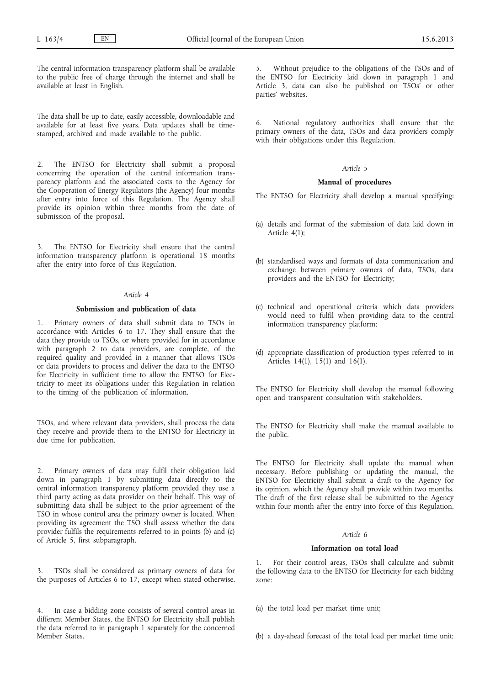The central information transparency platform shall be available to the public free of charge through the internet and shall be available at least in English.

The data shall be up to date, easily accessible, downloadable and available for at least five years. Data updates shall be timestamped, archived and made available to the public.

2. The ENTSO for Electricity shall submit a proposal concerning the operation of the central information transparency platform and the associated costs to the Agency for the Cooperation of Energy Regulators (the Agency) four months after entry into force of this Regulation. The Agency shall provide its opinion within three months from the date of submission of the proposal.

3. The ENTSO for Electricity shall ensure that the central information transparency platform is operational 18 months after the entry into force of this Regulation.

# *Article 4*

# **Submission and publication of data**

1. Primary owners of data shall submit data to TSOs in accordance with Articles 6 to 17. They shall ensure that the data they provide to TSOs, or where provided for in accordance with paragraph 2 to data providers, are complete, of the required quality and provided in a manner that allows TSOs or data providers to process and deliver the data to the ENTSO for Electricity in sufficient time to allow the ENTSO for Electricity to meet its obligations under this Regulation in relation to the timing of the publication of information.

TSOs, and where relevant data providers, shall process the data they receive and provide them to the ENTSO for Electricity in due time for publication.

2. Primary owners of data may fulfil their obligation laid down in paragraph 1 by submitting data directly to the central information transparency platform provided they use a third party acting as data provider on their behalf. This way of submitting data shall be subject to the prior agreement of the TSO in whose control area the primary owner is located. When providing its agreement the TSO shall assess whether the data provider fulfils the requirements referred to in points (b) and (c) of Article 5, first subparagraph.

TSOs shall be considered as primary owners of data for the purposes of Articles 6 to 17, except when stated otherwise.

In case a bidding zone consists of several control areas in different Member States, the ENTSO for Electricity shall publish the data referred to in paragraph 1 separately for the concerned Member States.

5. Without prejudice to the obligations of the TSOs and of the ENTSO for Electricity laid down in paragraph 1 and Article 3, data can also be published on TSOs' or other parties' websites.

6. National regulatory authorities shall ensure that the primary owners of the data, TSOs and data providers comply with their obligations under this Regulation.

# *Article 5*

# **Manual of procedures**

The ENTSO for Electricity shall develop a manual specifying:

- (a) details and format of the submission of data laid down in Article 4(1);
- (b) standardised ways and formats of data communication and exchange between primary owners of data, TSOs, data providers and the ENTSO for Electricity;
- (c) technical and operational criteria which data providers would need to fulfil when providing data to the central information transparency platform;
- (d) appropriate classification of production types referred to in Articles 14(1), 15(1) and  $16(1)$ .

The ENTSO for Electricity shall develop the manual following open and transparent consultation with stakeholders.

The ENTSO for Electricity shall make the manual available to the public.

The ENTSO for Electricity shall update the manual when necessary. Before publishing or updating the manual, the ENTSO for Electricity shall submit a draft to the Agency for its opinion, which the Agency shall provide within two months. The draft of the first release shall be submitted to the Agency within four month after the entry into force of this Regulation.

# *Article 6*

#### **Information on total load**

1. For their control areas, TSOs shall calculate and submit the following data to the ENTSO for Electricity for each bidding zone:

- (a) the total load per market time unit;
- (b) a day-ahead forecast of the total load per market time unit;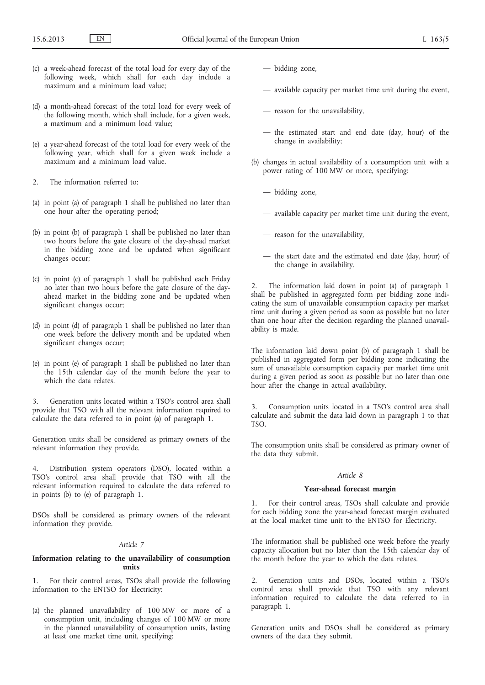- (c) a week-ahead forecast of the total load for every day of the following week, which shall for each day include a maximum and a minimum load value;
- (d) a month-ahead forecast of the total load for every week of the following month, which shall include, for a given week, a maximum and a minimum load value;
- (e) a year-ahead forecast of the total load for every week of the following year, which shall for a given week include a maximum and a minimum load value.
- 2. The information referred to:
- (a) in point (a) of paragraph 1 shall be published no later than one hour after the operating period;
- (b) in point (b) of paragraph 1 shall be published no later than two hours before the gate closure of the day-ahead market in the bidding zone and be updated when significant changes occur;
- (c) in point (c) of paragraph 1 shall be published each Friday no later than two hours before the gate closure of the dayahead market in the bidding zone and be updated when significant changes occur;
- (d) in point (d) of paragraph 1 shall be published no later than one week before the delivery month and be updated when significant changes occur;
- (e) in point (e) of paragraph 1 shall be published no later than the 15th calendar day of the month before the year to which the data relates.

3. Generation units located within a TSO's control area shall provide that TSO with all the relevant information required to calculate the data referred to in point (a) of paragraph 1.

Generation units shall be considered as primary owners of the relevant information they provide.

4. Distribution system operators (DSO), located within a TSO's control area shall provide that TSO with all the relevant information required to calculate the data referred to in points (b) to (e) of paragraph 1.

DSOs shall be considered as primary owners of the relevant information they provide.

#### *Article 7*

### **Information relating to the unavailability of consumption units**

1. For their control areas, TSOs shall provide the following information to the ENTSO for Electricity:

(a) the planned unavailability of 100 MW or more of a consumption unit, including changes of 100 MW or more in the planned unavailability of consumption units, lasting at least one market time unit, specifying:

- bidding zone,
- available capacity per market time unit during the event,
- reason for the unavailability,
- the estimated start and end date (day, hour) of the change in availability;
- (b) changes in actual availability of a consumption unit with a power rating of 100 MW or more, specifying:
	- bidding zone,
	- available capacity per market time unit during the event,
	- reason for the unavailability,
	- the start date and the estimated end date (day, hour) of the change in availability.

2. The information laid down in point (a) of paragraph 1 shall be published in aggregated form per bidding zone indicating the sum of unavailable consumption capacity per market time unit during a given period as soon as possible but no later than one hour after the decision regarding the planned unavailability is made.

The information laid down point (b) of paragraph 1 shall be published in aggregated form per bidding zone indicating the sum of unavailable consumption capacity per market time unit during a given period as soon as possible but no later than one hour after the change in actual availability.

3. Consumption units located in a TSO's control area shall calculate and submit the data laid down in paragraph 1 to that TSO.

The consumption units shall be considered as primary owner of the data they submit.

### *Article 8*

# **Year-ahead forecast margin**

1. For their control areas, TSOs shall calculate and provide for each bidding zone the year-ahead forecast margin evaluated at the local market time unit to the ENTSO for Electricity.

The information shall be published one week before the yearly capacity allocation but no later than the 15th calendar day of the month before the year to which the data relates.

2. Generation units and DSOs, located within a TSO's control area shall provide that TSO with any relevant information required to calculate the data referred to in paragraph 1.

Generation units and DSOs shall be considered as primary owners of the data they submit.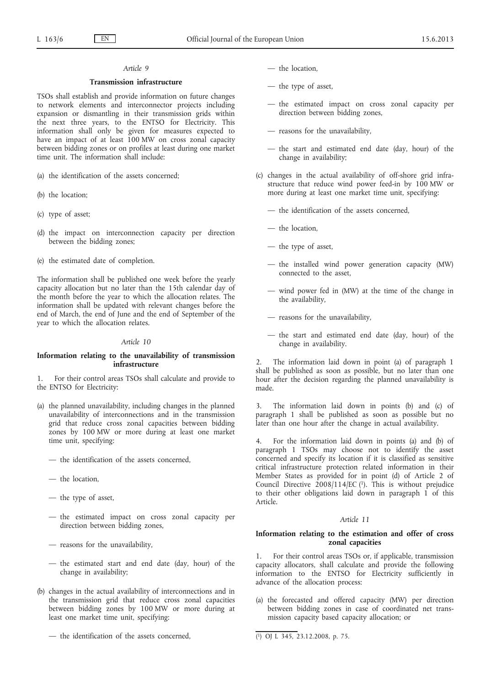#### *Article 9*

### **Transmission infrastructure**

TSOs shall establish and provide information on future changes to network elements and interconnector projects including expansion or dismantling in their transmission grids within the next three years, to the ENTSO for Electricity. This information shall only be given for measures expected to have an impact of at least 100 MW on cross zonal capacity between bidding zones or on profiles at least during one market time unit. The information shall include:

- (a) the identification of the assets concerned;
- (b) the location;
- (c) type of asset;
- (d) the impact on interconnection capacity per direction between the bidding zones;
- (e) the estimated date of completion.

The information shall be published one week before the yearly capacity allocation but no later than the 15th calendar day of the month before the year to which the allocation relates. The information shall be updated with relevant changes before the end of March, the end of June and the end of September of the year to which the allocation relates.

#### *Article 10*

### **Information relating to the unavailability of transmission infrastructure**

1. For their control areas TSOs shall calculate and provide to the ENTSO for Electricity:

- (a) the planned unavailability, including changes in the planned unavailability of interconnections and in the transmission grid that reduce cross zonal capacities between bidding zones by 100 MW or more during at least one market time unit, specifying:
	- the identification of the assets concerned,
	- the location,
	- the type of asset,
	- the estimated impact on cross zonal capacity per direction between bidding zones,
	- reasons for the unavailability,
	- the estimated start and end date (day, hour) of the change in availability;
- (b) changes in the actual availability of interconnections and in the transmission grid that reduce cross zonal capacities between bidding zones by 100 MW or more during at least one market time unit, specifying:
	- the identification of the assets concerned,
- the location,
- the type of asset,
- the estimated impact on cross zonal capacity per direction between bidding zones,
- reasons for the unavailability,
- the start and estimated end date (day, hour) of the change in availability;
- (c) changes in the actual availability of off-shore grid infrastructure that reduce wind power feed-in by 100 MW or more during at least one market time unit, specifying:
	- the identification of the assets concerned,
	- the location,
	- the type of asset,
	- the installed wind power generation capacity (MW) connected to the asset,
	- wind power fed in (MW) at the time of the change in the availability,
	- reasons for the unavailability,
	- the start and estimated end date (day, hour) of the change in availability.

2. The information laid down in point (a) of paragraph 1 shall be published as soon as possible, but no later than one hour after the decision regarding the planned unavailability is made.

3. The information laid down in points (b) and (c) of paragraph 1 shall be published as soon as possible but no later than one hour after the change in actual availability.

4. For the information laid down in points (a) and (b) of paragraph 1 TSOs may choose not to identify the asset concerned and specify its location if it is classified as sensitive critical infrastructure protection related information in their Member States as provided for in point (d) of Article 2 of Council Directive 2008/114/EC (1). This is without prejudice to their other obligations laid down in paragraph 1 of this Article.

# *Article 11*

### **Information relating to the estimation and offer of cross zonal capacities**

For their control areas TSOs or, if applicable, transmission capacity allocators, shall calculate and provide the following information to the ENTSO for Electricity sufficiently in advance of the allocation process:

(a) the forecasted and offered capacity (MW) per direction between bidding zones in case of coordinated net transmission capacity based capacity allocation; or

<sup>(</sup> 1) OJ L 345, 23.12.2008, p. 75.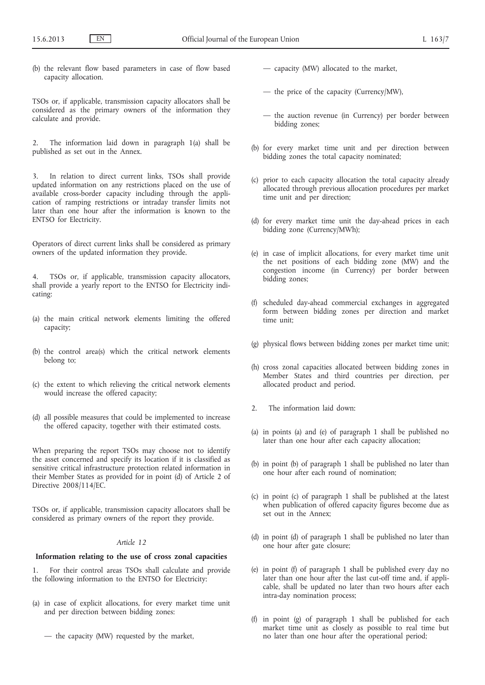(b) the relevant flow based parameters in case of flow based capacity allocation.

TSOs or, if applicable, transmission capacity allocators shall be considered as the primary owners of the information they calculate and provide.

2. The information laid down in paragraph 1(a) shall be published as set out in the Annex.

In relation to direct current links, TSOs shall provide updated information on any restrictions placed on the use of available cross-border capacity including through the application of ramping restrictions or intraday transfer limits not later than one hour after the information is known to the ENTSO for Electricity.

Operators of direct current links shall be considered as primary owners of the updated information they provide.

TSOs or, if applicable, transmission capacity allocators, shall provide a yearly report to the ENTSO for Electricity indicating:

- (a) the main critical network elements limiting the offered capacity;
- (b) the control area(s) which the critical network elements belong to;
- (c) the extent to which relieving the critical network elements would increase the offered capacity;
- (d) all possible measures that could be implemented to increase the offered capacity, together with their estimated costs.

When preparing the report TSOs may choose not to identify the asset concerned and specify its location if it is classified as sensitive critical infrastructure protection related information in their Member States as provided for in point (d) of Article 2 of Directive 2008/114/EC.

TSOs or, if applicable, transmission capacity allocators shall be considered as primary owners of the report they provide.

# *Article 12*

# **Information relating to the use of cross zonal capacities**

1. For their control areas TSOs shall calculate and provide the following information to the ENTSO for Electricity:

- (a) in case of explicit allocations, for every market time unit and per direction between bidding zones:
	- the capacity (MW) requested by the market,
- capacity (MW) allocated to the market,
- the price of the capacity (Currency/MW),
- the auction revenue (in Currency) per border between bidding zones;
- (b) for every market time unit and per direction between bidding zones the total capacity nominated;
- (c) prior to each capacity allocation the total capacity already allocated through previous allocation procedures per market time unit and per direction;
- (d) for every market time unit the day-ahead prices in each bidding zone (Currency/MWh);
- (e) in case of implicit allocations, for every market time unit the net positions of each bidding zone (MW) and the congestion income (in Currency) per border between bidding zones;
- (f) scheduled day-ahead commercial exchanges in aggregated form between bidding zones per direction and market time unit;
- (g) physical flows between bidding zones per market time unit;
- (h) cross zonal capacities allocated between bidding zones in Member States and third countries per direction, per allocated product and period.
- 2. The information laid down:
- (a) in points (a) and (e) of paragraph 1 shall be published no later than one hour after each capacity allocation;
- (b) in point (b) of paragraph 1 shall be published no later than one hour after each round of nomination;
- (c) in point (c) of paragraph 1 shall be published at the latest when publication of offered capacity figures become due as set out in the Annex;
- (d) in point (d) of paragraph 1 shall be published no later than one hour after gate closure;
- (e) in point (f) of paragraph 1 shall be published every day no later than one hour after the last cut-off time and, if applicable, shall be updated no later than two hours after each intra-day nomination process;
- (f) in point (g) of paragraph 1 shall be published for each market time unit as closely as possible to real time but no later than one hour after the operational period;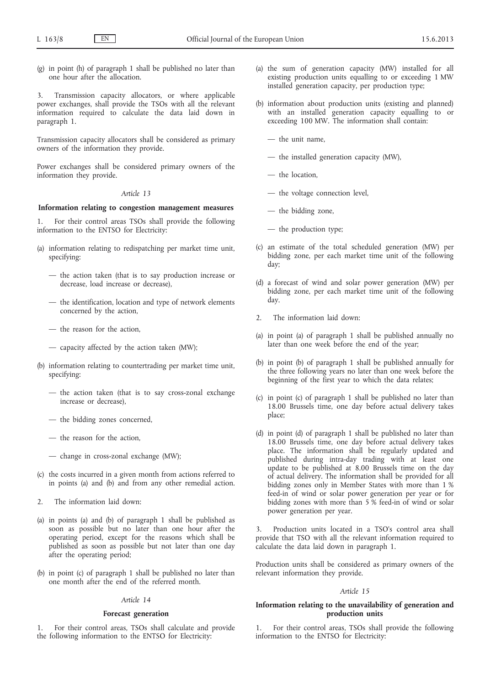(g) in point (h) of paragraph 1 shall be published no later than one hour after the allocation.

3. Transmission capacity allocators, or where applicable power exchanges, shall provide the TSOs with all the relevant information required to calculate the data laid down in paragraph 1.

Transmission capacity allocators shall be considered as primary owners of the information they provide.

Power exchanges shall be considered primary owners of the information they provide.

#### *Article 13*

#### **Information relating to congestion management measures**

1. For their control areas TSOs shall provide the following information to the ENTSO for Electricity:

- (a) information relating to redispatching per market time unit, specifying:
	- the action taken (that is to say production increase or decrease, load increase or decrease),
	- the identification, location and type of network elements concerned by the action,
	- the reason for the action,
	- capacity affected by the action taken (MW);
- (b) information relating to countertrading per market time unit, specifying:
	- the action taken (that is to say cross-zonal exchange increase or decrease),
	- the bidding zones concerned,
	- the reason for the action,
	- change in cross-zonal exchange (MW);
- (c) the costs incurred in a given month from actions referred to in points (a) and (b) and from any other remedial action.
- 2. The information laid down:
- (a) in points (a) and (b) of paragraph 1 shall be published as soon as possible but no later than one hour after the operating period, except for the reasons which shall be published as soon as possible but not later than one day after the operating period;
- (b) in point (c) of paragraph 1 shall be published no later than one month after the end of the referred month.

#### *Article 14*

#### **Forecast generation**

For their control areas, TSOs shall calculate and provide the following information to the ENTSO for Electricity:

- (a) the sum of generation capacity (MW) installed for all existing production units equalling to or exceeding 1 MW installed generation capacity, per production type;
- (b) information about production units (existing and planned) with an installed generation capacity equalling to or exceeding 100 MW. The information shall contain:
	- the unit name,
	- the installed generation capacity (MW),
	- the location,
	- the voltage connection level,
	- the bidding zone,
	- the production type;
- (c) an estimate of the total scheduled generation (MW) per bidding zone, per each market time unit of the following day;
- (d) a forecast of wind and solar power generation (MW) per bidding zone, per each market time unit of the following day.
- 2. The information laid down:
- (a) in point (a) of paragraph 1 shall be published annually no later than one week before the end of the year;
- (b) in point (b) of paragraph 1 shall be published annually for the three following years no later than one week before the beginning of the first year to which the data relates;
- (c) in point (c) of paragraph 1 shall be published no later than 18.00 Brussels time, one day before actual delivery takes place;
- (d) in point (d) of paragraph 1 shall be published no later than 18.00 Brussels time, one day before actual delivery takes place. The information shall be regularly updated and published during intra-day trading with at least one update to be published at 8.00 Brussels time on the day of actual delivery. The information shall be provided for all bidding zones only in Member States with more than 1 % feed-in of wind or solar power generation per year or for bidding zones with more than 5 % feed-in of wind or solar power generation per year.

Production units located in a TSO's control area shall provide that TSO with all the relevant information required to calculate the data laid down in paragraph 1.

Production units shall be considered as primary owners of the relevant information they provide.

# *Article 15*

# **Information relating to the unavailability of generation and production units**

For their control areas, TSOs shall provide the following information to the ENTSO for Electricity: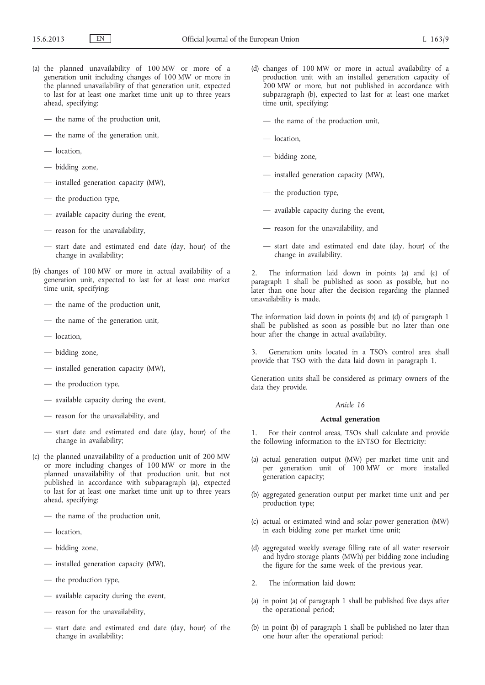- (a) the planned unavailability of 100 MW or more of a generation unit including changes of 100 MW or more in the planned unavailability of that generation unit, expected to last for at least one market time unit up to three years ahead, specifying:
	- the name of the production unit,
	- the name of the generation unit,
	- location,
	- bidding zone,
	- installed generation capacity (MW),
	- the production type,
	- available capacity during the event,
	- reason for the unavailability,
	- start date and estimated end date (day, hour) of the change in availability;
- (b) changes of 100 MW or more in actual availability of a generation unit, expected to last for at least one market time unit, specifying:
	- the name of the production unit,
	- the name of the generation unit,
	- location,
	- bidding zone,
	- installed generation capacity (MW),
	- the production type,
	- available capacity during the event,
	- reason for the unavailability, and
	- start date and estimated end date (day, hour) of the change in availability;
- (c) the planned unavailability of a production unit of 200 MW or more including changes of 100 MW or more in the planned unavailability of that production unit, but not published in accordance with subparagraph (a), expected to last for at least one market time unit up to three years ahead, specifying:
	- the name of the production unit,
	- location,
	- bidding zone,
	- installed generation capacity (MW),
	- the production type,
	- available capacity during the event,
	- reason for the unavailability,
	- start date and estimated end date (day, hour) of the change in availability;
- (d) changes of 100 MW or more in actual availability of a production unit with an installed generation capacity of 200 MW or more, but not published in accordance with subparagraph (b), expected to last for at least one market time unit, specifying:
	- the name of the production unit,
	- location,
	- bidding zone,
	- installed generation capacity (MW),
	- the production type,
	- available capacity during the event,
	- reason for the unavailability, and
	- start date and estimated end date (day, hour) of the change in availability.

2. The information laid down in points (a) and (c) of paragraph 1 shall be published as soon as possible, but no later than one hour after the decision regarding the planned unavailability is made.

The information laid down in points (b) and (d) of paragraph 1 shall be published as soon as possible but no later than one hour after the change in actual availability.

3. Generation units located in a TSO's control area shall provide that TSO with the data laid down in paragraph 1.

Generation units shall be considered as primary owners of the data they provide.

# *Article 16*

#### **Actual generation**

1. For their control areas, TSOs shall calculate and provide the following information to the ENTSO for Electricity:

- (a) actual generation output (MW) per market time unit and per generation unit of 100 MW or more installed generation capacity;
- (b) aggregated generation output per market time unit and per production type;
- (c) actual or estimated wind and solar power generation (MW) in each bidding zone per market time unit;
- (d) aggregated weekly average filling rate of all water reservoir and hydro storage plants (MWh) per bidding zone including the figure for the same week of the previous year.
- 2. The information laid down:
- (a) in point (a) of paragraph 1 shall be published five days after the operational period;
- (b) in point (b) of paragraph 1 shall be published no later than one hour after the operational period;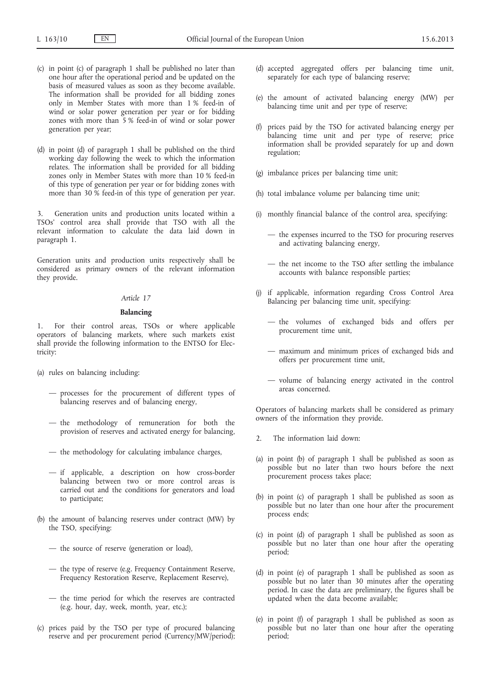- (c) in point (c) of paragraph 1 shall be published no later than one hour after the operational period and be updated on the basis of measured values as soon as they become available. The information shall be provided for all bidding zones only in Member States with more than 1 % feed-in of wind or solar power generation per year or for bidding zones with more than 5 % feed-in of wind or solar power generation per year;
- (d) in point (d) of paragraph 1 shall be published on the third working day following the week to which the information relates. The information shall be provided for all bidding zones only in Member States with more than 10 % feed-in of this type of generation per year or for bidding zones with more than 30 % feed-in of this type of generation per year.

Generation units and production units located within a TSOs' control area shall provide that TSO with all the relevant information to calculate the data laid down in paragraph 1.

Generation units and production units respectively shall be considered as primary owners of the relevant information they provide.

# *Article 17*

#### **Balancing**

For their control areas, TSOs or where applicable operators of balancing markets, where such markets exist shall provide the following information to the ENTSO for Electricity:

(a) rules on balancing including:

- processes for the procurement of different types of balancing reserves and of balancing energy,
- the methodology of remuneration for both the provision of reserves and activated energy for balancing,
- the methodology for calculating imbalance charges,
- if applicable, a description on how cross-border balancing between two or more control areas is carried out and the conditions for generators and load to participate;
- (b) the amount of balancing reserves under contract (MW) by the TSO, specifying:
	- the source of reserve (generation or load),
	- the type of reserve (e.g. Frequency Containment Reserve, Frequency Restoration Reserve, Replacement Reserve),
	- the time period for which the reserves are contracted (e.g. hour, day, week, month, year, etc.);
- (c) prices paid by the TSO per type of procured balancing reserve and per procurement period (Currency/MW/period);
- (d) accepted aggregated offers per balancing time unit, separately for each type of balancing reserve;
- (e) the amount of activated balancing energy (MW) per balancing time unit and per type of reserve;
- (f) prices paid by the TSO for activated balancing energy per balancing time unit and per type of reserve; price information shall be provided separately for up and down regulation;
- (g) imbalance prices per balancing time unit;
- (h) total imbalance volume per balancing time unit;
- (i) monthly financial balance of the control area, specifying:
	- the expenses incurred to the TSO for procuring reserves and activating balancing energy,
	- the net income to the TSO after settling the imbalance accounts with balance responsible parties;
- (j) if applicable, information regarding Cross Control Area Balancing per balancing time unit, specifying:
	- the volumes of exchanged bids and offers per procurement time unit,
	- maximum and minimum prices of exchanged bids and offers per procurement time unit,
	- volume of balancing energy activated in the control areas concerned.

Operators of balancing markets shall be considered as primary owners of the information they provide.

- 2. The information laid down:
- (a) in point (b) of paragraph 1 shall be published as soon as possible but no later than two hours before the next procurement process takes place;
- (b) in point (c) of paragraph 1 shall be published as soon as possible but no later than one hour after the procurement process ends;
- (c) in point (d) of paragraph 1 shall be published as soon as possible but no later than one hour after the operating period;
- (d) in point (e) of paragraph 1 shall be published as soon as possible but no later than 30 minutes after the operating period. In case the data are preliminary, the figures shall be updated when the data become available;
- (e) in point (f) of paragraph 1 shall be published as soon as possible but no later than one hour after the operating period;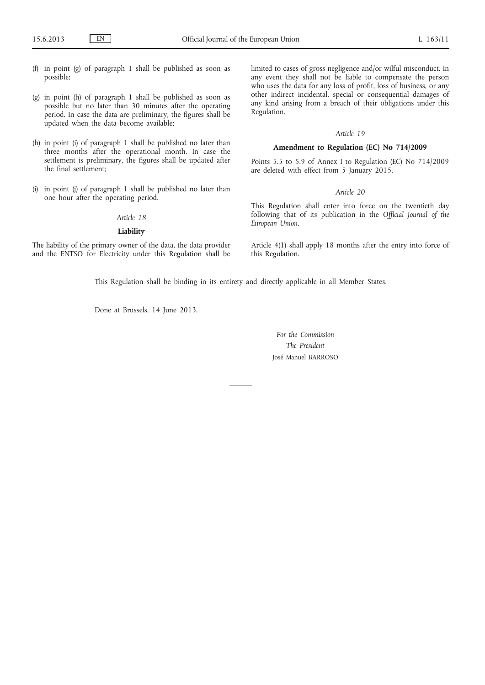- (f) in point (g) of paragraph 1 shall be published as soon as possible;
- (g) in point (h) of paragraph 1 shall be published as soon as possible but no later than 30 minutes after the operating period. In case the data are preliminary, the figures shall be updated when the data become available;
- (h) in point (i) of paragraph 1 shall be published no later than three months after the operational month. In case the settlement is preliminary, the figures shall be updated after the final settlement;
- (i) in point (j) of paragraph 1 shall be published no later than one hour after the operating period.

# *Article 18*

### **Liability**

The liability of the primary owner of the data, the data provider and the ENTSO for Electricity under this Regulation shall be limited to cases of gross negligence and/or wilful misconduct. In any event they shall not be liable to compensate the person who uses the data for any loss of profit, loss of business, or any other indirect incidental, special or consequential damages of any kind arising from a breach of their obligations under this Regulation.

# *Article 19*

### **Amendment to Regulation (EC) No 714/2009**

Points 5.5 to 5.9 of Annex I to Regulation (EC) No 714/2009 are deleted with effect from 5 January 2015.

# *Article 20*

This Regulation shall enter into force on the twentieth day following that of its publication in the *Official Journal of the European Union*.

Article 4(1) shall apply 18 months after the entry into force of this Regulation.

This Regulation shall be binding in its entirety and directly applicable in all Member States.

Done at Brussels, 14 June 2013.

*For the Commission The President* José Manuel BARROSO